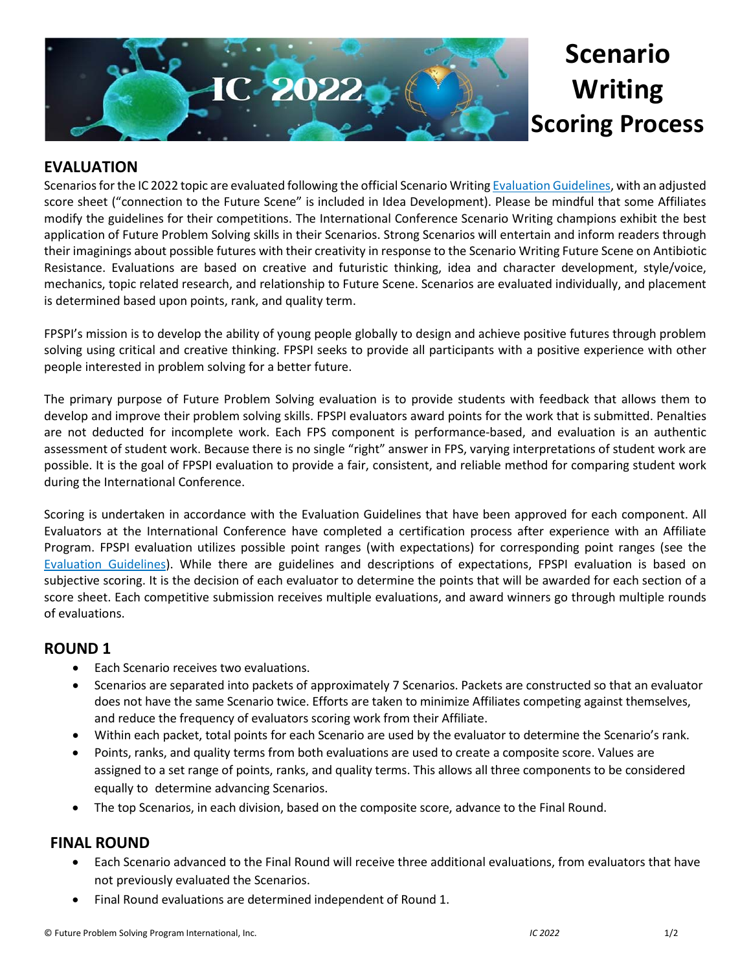

# **Scenario Writing Scoring Process**

## **EVALUATION**

Scenarios for the IC 2022 topic are evaluated following the official Scenario Writing [Evaluation Guidelines,](https://www.fpspimart.org/product/evaluation-guidelines/) with an adjusted score sheet ("connection to the Future Scene" is included in Idea Development). Please be mindful that some Affiliates modify the guidelines for their competitions. The International Conference Scenario Writing champions exhibit the best application of Future Problem Solving skills in their Scenarios. Strong Scenarios will entertain and inform readers through their imaginings about possible futures with their creativity in response to the Scenario Writing Future Scene on Antibiotic Resistance. Evaluations are based on creative and futuristic thinking, idea and character development, style/voice, mechanics, topic related research, and relationship to Future Scene. Scenarios are evaluated individually, and placement is determined based upon points, rank, and quality term.

FPSPI's mission is to develop the ability of young people globally to design and achieve positive futures through problem solving using critical and creative thinking. FPSPI seeks to provide all participants with a positive experience with other people interested in problem solving for a better future.

The primary purpose of Future Problem Solving evaluation is to provide students with feedback that allows them to develop and improve their problem solving skills. FPSPI evaluators award points for the work that is submitted. Penalties are not deducted for incomplete work. Each FPS component is performance-based, and evaluation is an authentic assessment of student work. Because there is no single "right" answer in FPS, varying interpretations of student work are possible. It is the goal of FPSPI evaluation to provide a fair, consistent, and reliable method for comparing student work during the International Conference.

Scoring is undertaken in accordance with the Evaluation Guidelines that have been approved for each component. All Evaluators at the International Conference have completed a certification process after experience with an Affiliate Program. FPSPI evaluation utilizes possible point ranges (with expectations) for corresponding point ranges (see the [Evaluation Guidelines\)](https://www.fpspimart.org/product/evaluation-guidelines/). While there are guidelines and descriptions of expectations, FPSPI evaluation is based on subjective scoring. It is the decision of each evaluator to determine the points that will be awarded for each section of a score sheet. Each competitive submission receives multiple evaluations, and award winners go through multiple rounds of evaluations.

#### **ROUND 1**

- Each Scenario receives two evaluations.
- Scenarios are separated into packets of approximately 7 Scenarios. Packets are constructed so that an evaluator does not have the same Scenario twice. Efforts are taken to minimize Affiliates competing against themselves, and reduce the frequency of evaluators scoring work from their Affiliate.
- Within each packet, total points for each Scenario are used by the evaluator to determine the Scenario's rank.
- Points, ranks, and quality terms from both evaluations are used to create a composite score. Values are assigned to a set range of points, ranks, and quality terms. This allows all three components to be considered equally to determine advancing Scenarios.
- The top Scenarios, in each division, based on the composite score, advance to the Final Round.

### **FINAL ROUND**

- Each Scenario advanced to the Final Round will receive three additional evaluations, from evaluators that have not previously evaluated the Scenarios.
- Final Round evaluations are determined independent of Round 1.